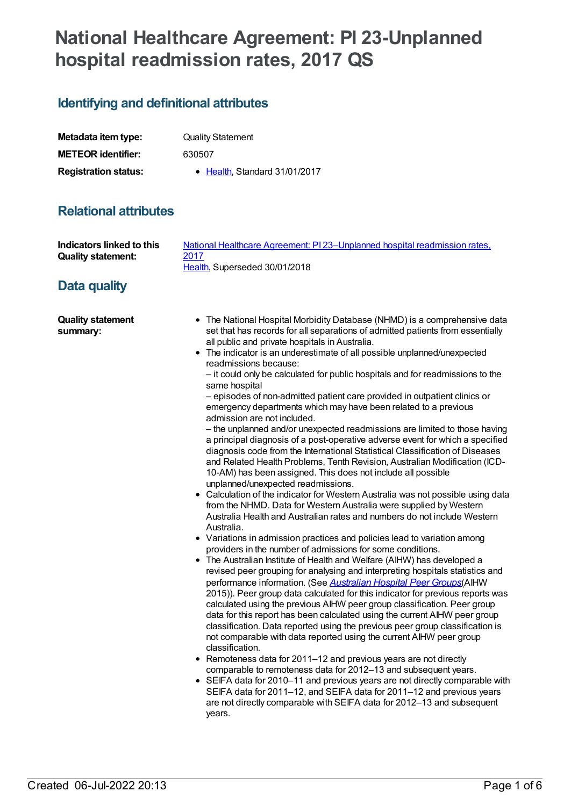# **National Healthcare Agreement: PI 23-Unplanned hospital readmission rates, 2017 QS**

## **Identifying and definitional attributes**

| Metadata item type:         | <b>Quality Statement</b>              |
|-----------------------------|---------------------------------------|
| <b>METEOR identifier:</b>   | 630507                                |
| <b>Registration status:</b> | $\bullet$ Health. Standard 31/01/2017 |

### **Relational attributes**

| <b>Indicators linked to this</b><br><b>Quality statement:</b> | National Healthcare Agreement: PI23-Unplanned hospital readmission rates,<br>2017<br>Health, Superseded 30/01/2018                                                                                                                                                                                                                                                                                                                                                                                                                                                                                                                                                                                                                                                                                                                                                                                                                                                                                                                                                                                                                                                                                                                                                                                                                                                                                                                                                                                                                                                                                                                                                                                                                                                                                                                                                                                                                                                                                                                                                                                                                                                                                                                                                                                                                                                                                                                                                                  |
|---------------------------------------------------------------|-------------------------------------------------------------------------------------------------------------------------------------------------------------------------------------------------------------------------------------------------------------------------------------------------------------------------------------------------------------------------------------------------------------------------------------------------------------------------------------------------------------------------------------------------------------------------------------------------------------------------------------------------------------------------------------------------------------------------------------------------------------------------------------------------------------------------------------------------------------------------------------------------------------------------------------------------------------------------------------------------------------------------------------------------------------------------------------------------------------------------------------------------------------------------------------------------------------------------------------------------------------------------------------------------------------------------------------------------------------------------------------------------------------------------------------------------------------------------------------------------------------------------------------------------------------------------------------------------------------------------------------------------------------------------------------------------------------------------------------------------------------------------------------------------------------------------------------------------------------------------------------------------------------------------------------------------------------------------------------------------------------------------------------------------------------------------------------------------------------------------------------------------------------------------------------------------------------------------------------------------------------------------------------------------------------------------------------------------------------------------------------------------------------------------------------------------------------------------------------|
| <b>Data quality</b>                                           |                                                                                                                                                                                                                                                                                                                                                                                                                                                                                                                                                                                                                                                                                                                                                                                                                                                                                                                                                                                                                                                                                                                                                                                                                                                                                                                                                                                                                                                                                                                                                                                                                                                                                                                                                                                                                                                                                                                                                                                                                                                                                                                                                                                                                                                                                                                                                                                                                                                                                     |
| <b>Quality statement</b><br>summary:                          | • The National Hospital Morbidity Database (NHMD) is a comprehensive data<br>set that has records for all separations of admitted patients from essentially<br>all public and private hospitals in Australia.<br>• The indicator is an underestimate of all possible unplanned/unexpected<br>readmissions because:<br>- it could only be calculated for public hospitals and for readmissions to the<br>same hospital<br>- episodes of non-admitted patient care provided in outpatient clinics or<br>emergency departments which may have been related to a previous<br>admission are not included.<br>- the unplanned and/or unexpected readmissions are limited to those having<br>a principal diagnosis of a post-operative adverse event for which a specified<br>diagnosis code from the International Statistical Classification of Diseases<br>and Related Health Problems, Tenth Revision, Australian Modification (ICD-<br>10-AM) has been assigned. This does not include all possible<br>unplanned/unexpected readmissions.<br>• Calculation of the indicator for Western Australia was not possible using data<br>from the NHMD. Data for Western Australia were supplied by Western<br>Australia Health and Australian rates and numbers do not include Western<br>Australia.<br>• Variations in admission practices and policies lead to variation among<br>providers in the number of admissions for some conditions.<br>• The Australian Institute of Health and Welfare (AIHW) has developed a<br>revised peer grouping for analysing and interpreting hospitals statistics and<br>performance information. (See Australian Hospital Peer Groups(AIHW<br>2015)). Peer group data calculated for this indicator for previous reports was<br>calculated using the previous AIHW peer group classification. Peer group<br>data for this report has been calculated using the current AIHW peer group<br>classification. Data reported using the previous peer group classification is<br>not comparable with data reported using the current AIHW peer group<br>classification.<br>• Remoteness data for 2011-12 and previous years are not directly<br>comparable to remoteness data for 2012-13 and subsequent years.<br>• SEIFA data for 2010-11 and previous years are not directly comparable with<br>SEIFA data for 2011-12, and SEIFA data for 2011-12 and previous years<br>are not directly comparable with SEIFA data for 2012-13 and subsequent<br>years. |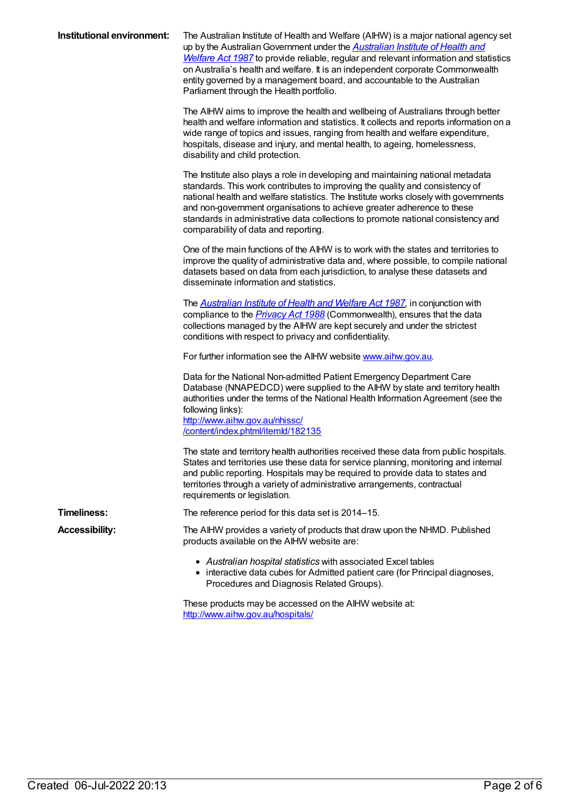| Institutional environment: | The Australian Institute of Health and Welfare (AIHW) is a major national agency set<br>up by the Australian Government under the <b>Australian Institute of Health and</b><br><b>Welfare Act 1987</b> to provide reliable, regular and relevant information and statistics<br>on Australia's health and welfare. It is an independent corporate Commonwealth<br>entity governed by a management board, and accountable to the Australian<br>Parliament through the Health portfolio. |
|----------------------------|---------------------------------------------------------------------------------------------------------------------------------------------------------------------------------------------------------------------------------------------------------------------------------------------------------------------------------------------------------------------------------------------------------------------------------------------------------------------------------------|
|                            | The AIHW aims to improve the health and wellbeing of Australians through better<br>health and welfare information and statistics. It collects and reports information on a<br>wide range of topics and issues, ranging from health and welfare expenditure,<br>hospitals, disease and injury, and mental health, to ageing, homelessness,<br>disability and child protection.                                                                                                         |
|                            | The Institute also plays a role in developing and maintaining national metadata<br>standards. This work contributes to improving the quality and consistency of<br>national health and welfare statistics. The Institute works closely with governments<br>and non-government organisations to achieve greater adherence to these<br>standards in administrative data collections to promote national consistency and<br>comparability of data and reporting.                         |
|                            | One of the main functions of the AIHW is to work with the states and territories to<br>improve the quality of administrative data and, where possible, to compile national<br>datasets based on data from each jurisdiction, to analyse these datasets and<br>disseminate information and statistics.                                                                                                                                                                                 |
|                            | The <b>Australian Institute of Health and Welfare Act 1987</b> , in conjunction with<br>compliance to the <i>Privacy Act 1988</i> (Commonwealth), ensures that the data<br>collections managed by the AIHW are kept securely and under the strictest<br>conditions with respect to privacy and confidentiality.                                                                                                                                                                       |
|                            | For further information see the AIHW website www.aihw.gov.au.                                                                                                                                                                                                                                                                                                                                                                                                                         |
|                            | Data for the National Non-admitted Patient Emergency Department Care<br>Database (NNAPEDCD) were supplied to the AIHW by state and territory health<br>authorities under the terms of the National Health Information Agreement (see the<br>following links):<br>http://www.aihw.gov.au/nhissc/<br>/content/index.phtml/itemld/182135                                                                                                                                                 |
|                            | The state and territory health authorities received these data from public hospitals.<br>States and territories use these data for service planning, monitoring and internal<br>and public reporting. Hospitals may be required to provide data to states and<br>territories through a variety of administrative arrangements, contractual<br>requirements or legislation.                                                                                                            |
| <b>Timeliness:</b>         | The reference period for this data set is 2014-15.                                                                                                                                                                                                                                                                                                                                                                                                                                    |
| <b>Accessibility:</b>      | The AIHW provides a variety of products that draw upon the NHMD. Published<br>products available on the AIHW website are:                                                                                                                                                                                                                                                                                                                                                             |
|                            | • Australian hospital statistics with associated Excel tables<br>interpotive data subes for Admitted patient care (for Drippinal diagnoses                                                                                                                                                                                                                                                                                                                                            |

interactive data cubes for Admitted patient care (for Principal diagnoses, Procedures and Diagnosis Related Groups).

These products may be accessed on the AIHW website at: <http://www.aihw.gov.au/hospitals/>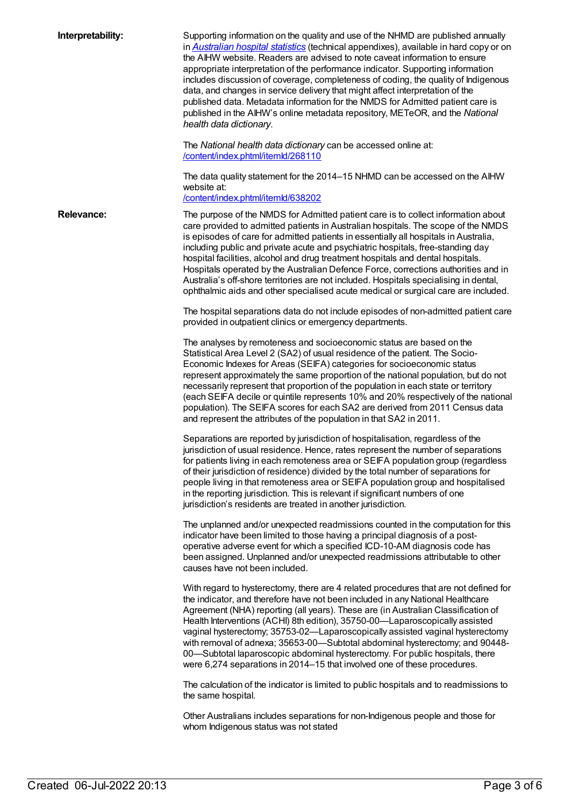| Interpretability: | Supporting information on the quality and use of the NHMD are published annually<br>in Australian hospital statistics (technical appendixes), available in hard copy or on<br>the AIHW website. Readers are advised to note caveat information to ensure<br>appropriate interpretation of the performance indicator. Supporting information<br>includes discussion of coverage, completeness of coding, the quality of Indigenous<br>data, and changes in service delivery that might affect interpretation of the<br>published data. Metadata information for the NMDS for Admitted patient care is<br>published in the AIHW's online metadata repository, METeOR, and the National<br>health data dictionary. |
|-------------------|-----------------------------------------------------------------------------------------------------------------------------------------------------------------------------------------------------------------------------------------------------------------------------------------------------------------------------------------------------------------------------------------------------------------------------------------------------------------------------------------------------------------------------------------------------------------------------------------------------------------------------------------------------------------------------------------------------------------|
|                   | The National health data dictionary can be accessed online at:<br>/content/index.phtml/itemld/268110                                                                                                                                                                                                                                                                                                                                                                                                                                                                                                                                                                                                            |
|                   | The data quality statement for the 2014–15 NHMD can be accessed on the AIHW<br>website at:<br>/content/index.phtml/itemld/638202                                                                                                                                                                                                                                                                                                                                                                                                                                                                                                                                                                                |
| <b>Relevance:</b> | The purpose of the NMDS for Admitted patient care is to collect information about<br>care provided to admitted patients in Australian hospitals. The scope of the NMDS<br>is episodes of care for admitted patients in essentially all hospitals in Australia,<br>including public and private acute and psychiatric hospitals, free-standing day<br>hospital facilities, alcohol and drug treatment hospitals and dental hospitals.<br>Hospitals operated by the Australian Defence Force, corrections authorities and in<br>Australia's off-shore territories are not included. Hospitals specialising in dental,<br>ophthalmic aids and other specialised acute medical or surgical care are included.       |
|                   | The hospital separations data do not include episodes of non-admitted patient care<br>provided in outpatient clinics or emergency departments.                                                                                                                                                                                                                                                                                                                                                                                                                                                                                                                                                                  |
|                   | The analyses by remoteness and socioeconomic status are based on the<br>Statistical Area Level 2 (SA2) of usual residence of the patient. The Socio-<br>Economic Indexes for Areas (SEIFA) categories for socioeconomic status<br>represent approximately the same proportion of the national population, but do not<br>necessarily represent that proportion of the population in each state or territory<br>(each SEIFA decile or quintile represents 10% and 20% respectively of the national<br>population). The SEIFA scores for each SA2 are derived from 2011 Census data<br>and represent the attributes of the population in that SA2 in 2011.                                                         |
|                   | Separations are reported by jurisdiction of hospitalisation, regardless of the<br>jurisdiction of usual residence. Hence, rates represent the number of separations<br>for patients living in each remoteness area or SEIFA population group (regardless<br>of their jurisdiction of residence) divided by the total number of separations for<br>people living in that remoteness area or SEIFA population group and hospitalised<br>in the reporting jurisdiction. This is relevant if significant numbers of one<br>jurisdiction's residents are treated in another jurisdiction.                                                                                                                            |
|                   | The unplanned and/or unexpected readmissions counted in the computation for this<br>indicator have been limited to those having a principal diagnosis of a post-<br>operative adverse event for which a specified ICD-10-AM diagnosis code has<br>been assigned. Unplanned and/or unexpected readmissions attributable to other<br>causes have not been included.                                                                                                                                                                                                                                                                                                                                               |
|                   | With regard to hysterectomy, there are 4 related procedures that are not defined for<br>the indicator, and therefore have not been included in any National Healthcare<br>Agreement (NHA) reporting (all years). These are (in Australian Classification of<br>Health Interventions (ACHI) 8th edition), 35750-00—Laparoscopically assisted<br>vaginal hysterectomy; 35753-02-Laparoscopically assisted vaginal hysterectomy<br>with removal of adnexa; 35653-00-Subtotal abdominal hysterectomy; and 90448-<br>00-Subtotal laparoscopic abdominal hysterectomy. For public hospitals, there<br>were 6,274 separations in 2014-15 that involved one of these procedures.                                        |
|                   | The calculation of the indicator is limited to public hospitals and to readmissions to<br>the same hospital.                                                                                                                                                                                                                                                                                                                                                                                                                                                                                                                                                                                                    |
|                   | Other Australians includes separations for non-Indigenous people and those for<br>whom Indigenous status was not stated                                                                                                                                                                                                                                                                                                                                                                                                                                                                                                                                                                                         |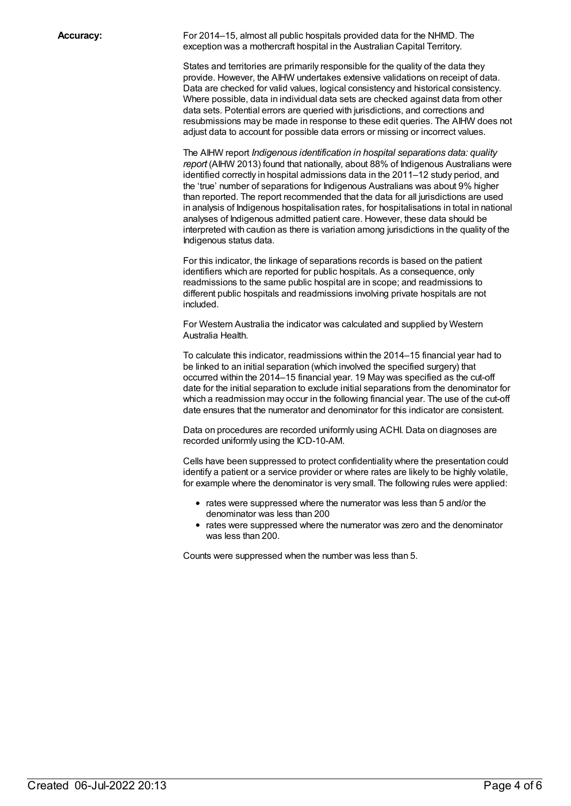**Accuracy:** For 2014–15, almost all public hospitals provided data for the NHMD. The exception was a mothercraft hospital in the Australian Capital Territory.

> States and territories are primarily responsible for the quality of the data they provide. However, the AIHW undertakes extensive validations on receipt of data. Data are checked for valid values, logical consistency and historical consistency. Where possible, data in individual data sets are checked against data from other data sets. Potential errors are queried with jurisdictions, and corrections and resubmissions may be made in response to these edit queries. The AIHW does not adjust data to account for possible data errors or missing or incorrect values.

> The AIHW report *Indigenous identification in hospital separations data: quality report* (AIHW 2013) found that nationally, about 88% of Indigenous Australians were identified correctly in hospital admissions data in the 2011–12 study period, and the 'true' number of separations for Indigenous Australians was about 9% higher than reported. The report recommended that the data for all jurisdictions are used in analysis of Indigenous hospitalisation rates, for hospitalisations in total in national analyses of Indigenous admitted patient care. However, these data should be interpreted with caution as there is variation among jurisdictions in the quality of the Indigenous status data.

For this indicator, the linkage of separations records is based on the patient identifiers which are reported for public hospitals. As a consequence, only readmissions to the same public hospital are in scope; and readmissions to different public hospitals and readmissions involving private hospitals are not included.

For Western Australia the indicator was calculated and supplied by Western Australia Health.

To calculate this indicator, readmissions within the 2014–15 financial year had to be linked to an initial separation (which involved the specified surgery) that occurred within the 2014–15 financial year. 19 May was specified as the cut-off date for the initial separation to exclude initial separations from the denominator for which a readmission may occur in the following financial year. The use of the cut-off date ensures that the numerator and denominator for this indicator are consistent.

Data on procedures are recorded uniformly using ACHI. Data on diagnoses are recorded uniformly using the ICD-10-AM.

Cells have been suppressed to protect confidentiality where the presentation could identify a patient or a service provider or where rates are likely to be highly volatile, for example where the denominator is very small. The following rules were applied:

- rates were suppressed where the numerator was less than 5 and/or the denominator was less than 200
- rates were suppressed where the numerator was zero and the denominator was less than 200.

Counts were suppressed when the number was less than 5.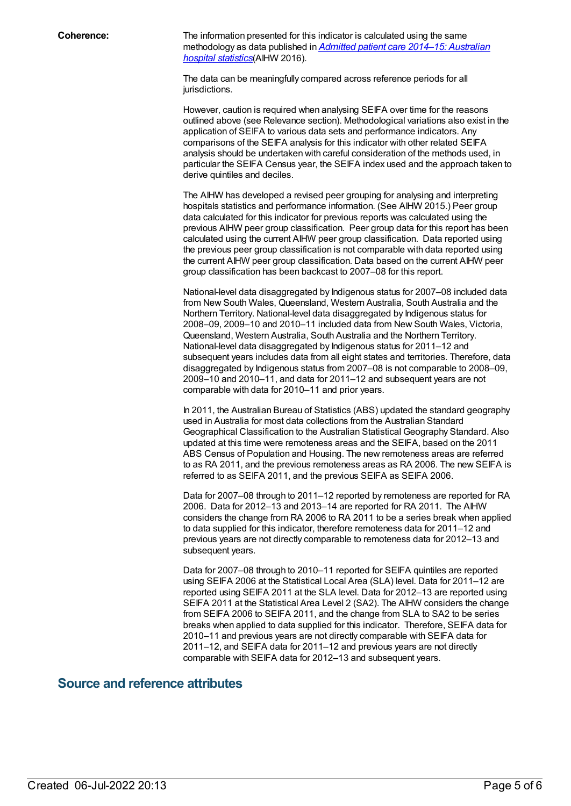**Coherence:** The information presented for this indicator is calculated using the same [methodology](http://www.aihw.gov.au/publication-detail/?id=60129554702) as data published in *Admitted patient care 2014–15: Australian hospital statistics*(AIHW 2016).

> The data can be meaningfully compared across reference periods for all jurisdictions.

However, caution is required when analysing SEIFA over time for the reasons outlined above (see Relevance section). Methodological variations also exist in the application of SEIFA to various data sets and performance indicators. Any comparisons of the SEIFA analysis for this indicator with other related SEIFA analysis should be undertaken with careful consideration of the methods used, in particular the SEIFA Census year, the SEIFA index used and the approach taken to derive quintiles and deciles.

The AIHW has developed a revised peer grouping for analysing and interpreting hospitals statistics and performance information. (See AIHW 2015.) Peer group data calculated for this indicator for previous reports was calculated using the previous AIHW peer group classification. Peer group data for this report has been calculated using the current AIHW peer group classification. Data reported using the previous peer group classification is not comparable with data reported using the current AIHW peer group classification. Data based on the current AIHW peer group classification has been backcast to 2007–08 for this report.

National-level data disaggregated by Indigenous status for 2007–08 included data from New South Wales, Queensland, Western Australia, South Australia and the Northern Territory. National-level data disaggregated by Indigenous status for 2008–09, 2009–10 and 2010–11 included data from New South Wales, Victoria, Queensland, Western Australia, South Australia and the Northern Territory. National-level data disaggregated by Indigenous status for 2011–12 and subsequent years includes data from all eight states and territories. Therefore, data disaggregated by Indigenous status from 2007–08 is not comparable to 2008–09, 2009–10 and 2010–11, and data for 2011–12 and subsequent years are not comparable with data for 2010–11 and prior years.

In 2011, the Australian Bureau of Statistics (ABS) updated the standard geography used in Australia for most data collections from the Australian Standard Geographical Classification to the Australian Statistical Geography Standard. Also updated at this time were remoteness areas and the SEIFA, based on the 2011 ABS Census of Population and Housing. The new remoteness areas are referred to as RA 2011, and the previous remoteness areas as RA 2006. The new SEIFA is referred to as SEIFA 2011, and the previous SEIFA as SEIFA 2006.

Data for 2007–08 through to 2011–12 reported by remoteness are reported for RA 2006. Data for 2012–13 and 2013–14 are reported for RA 2011. The AIHW considers the change from RA 2006 to RA 2011 to be a series break when applied to data supplied for this indicator, therefore remoteness data for 2011–12 and previous years are not directly comparable to remoteness data for 2012–13 and subsequent years.

Data for 2007–08 through to 2010–11 reported for SEIFA quintiles are reported using SEIFA 2006 at the Statistical Local Area (SLA) level. Data for 2011–12 are reported using SEIFA 2011 at the SLA level. Data for 2012–13 are reported using SEIFA 2011 at the Statistical Area Level 2 (SA2). The AIHW considers the change from SEIFA 2006 to SEIFA 2011, and the change from SLA to SA2 to be series breaks when applied to data supplied for this indicator. Therefore, SEIFA data for 2010–11 and previous years are not directly comparable with SEIFA data for 2011–12, and SEIFA data for 2011–12 and previous years are not directly comparable with SEIFA data for 2012–13 and subsequent years.

#### **Source and reference attributes**